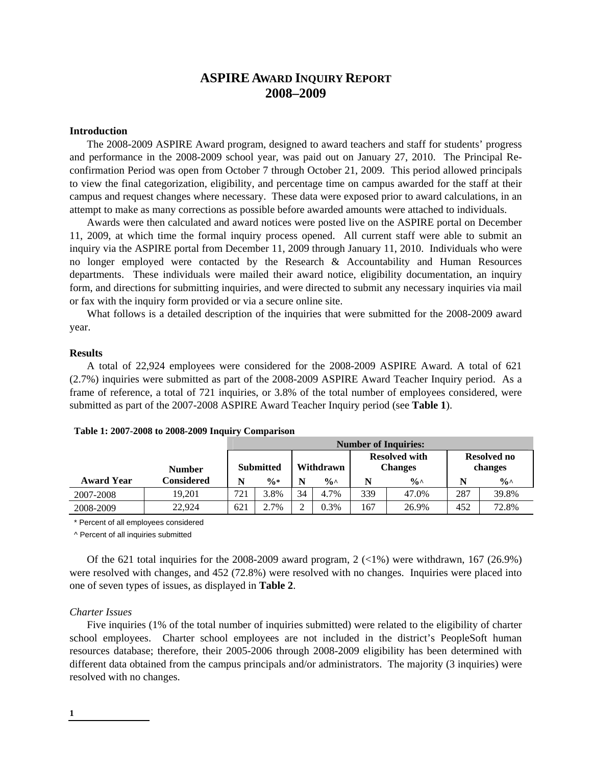# **ASPIRE AWARD INQUIRY REPORT 2008–2009**

# **Introduction**

The 2008-2009 ASPIRE Award program, designed to award teachers and staff for students' progress and performance in the 2008-2009 school year, was paid out on January 27, 2010. The Principal Reconfirmation Period was open from October 7 through October 21, 2009. This period allowed principals to view the final categorization, eligibility, and percentage time on campus awarded for the staff at their campus and request changes where necessary. These data were exposed prior to award calculations, in an attempt to make as many corrections as possible before awarded amounts were attached to individuals.

Awards were then calculated and award notices were posted live on the ASPIRE portal on December 11, 2009, at which time the formal inquiry process opened. All current staff were able to submit an inquiry via the ASPIRE portal from December 11, 2009 through January 11, 2010. Individuals who were no longer employed were contacted by the Research & Accountability and Human Resources departments. These individuals were mailed their award notice, eligibility documentation, an inquiry form, and directions for submitting inquiries, and were directed to submit any necessary inquiries via mail or fax with the inquiry form provided or via a secure online site.

What follows is a detailed description of the inquiries that were submitted for the 2008-2009 award year.

# **Results**

A total of 22,924 employees were considered for the 2008-2009 ASPIRE Award. A total of 621 (2.7%) inquiries were submitted as part of the 2008-2009 ASPIRE Award Teacher Inquiry period. As a frame of reference, a total of 721 inquiries, or 3.8% of the total number of employees considered, were submitted as part of the 2007-2008 ASPIRE Award Teacher Inquiry period (see **Table 1**).

|                   |               | <b>Number of Inquiries:</b> |                 |           |                |                                        |               |                               |               |
|-------------------|---------------|-----------------------------|-----------------|-----------|----------------|----------------------------------------|---------------|-------------------------------|---------------|
|                   | <b>Number</b> | <b>Submitted</b>            |                 | Withdrawn |                | <b>Resolved with</b><br><b>Changes</b> |               | <b>Resolved no</b><br>changes |               |
| <b>Award Year</b> | Considered    | N                           | $\frac{0}{0}$ * |           | $\frac{6}{10}$ | N                                      | $\frac{0}{0}$ | N                             | $\frac{0}{0}$ |
| 2007-2008         | 19.201        | 721                         | 3.8%            | 34        | 4.7%           | 339                                    | 47.0%         | 287                           | 39.8%         |
| 2008-2009         | 22.924        | 621                         | 2.7%            |           | 0.3%           | 167                                    | 26.9%         | 452                           | 72.8%         |

| Table 1: 2007-2008 to 2008-2009 Inquiry Comparison |  |  |
|----------------------------------------------------|--|--|
|----------------------------------------------------|--|--|

\* Percent of all employees considered

^ Percent of all inquiries submitted

Of the 621 total inquiries for the 2008-2009 award program,  $2 \left( \langle 1\% \rangle \right)$  were withdrawn, 167 (26.9%) were resolved with changes, and 452 (72.8%) were resolved with no changes. Inquiries were placed into one of seven types of issues, as displayed in **Table 2**.

# *Charter Issues*

Five inquiries (1% of the total number of inquiries submitted) were related to the eligibility of charter school employees. Charter school employees are not included in the district's PeopleSoft human resources database; therefore, their 2005-2006 through 2008-2009 eligibility has been determined with different data obtained from the campus principals and/or administrators. The majority (3 inquiries) were resolved with no changes.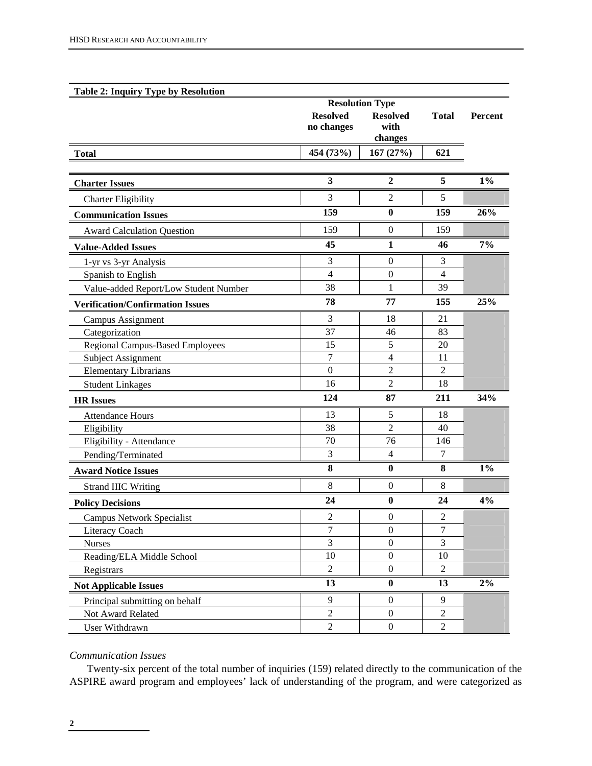| <b>Table 2: Inquiry Type by Resolution</b> |                               |                                                              |                |         |  |
|--------------------------------------------|-------------------------------|--------------------------------------------------------------|----------------|---------|--|
|                                            | <b>Resolved</b><br>no changes | <b>Resolution Type</b><br><b>Resolved</b><br>with<br>changes |                | Percent |  |
| <b>Total</b>                               | 454 (73%)                     | 167(27%)                                                     | 621            |         |  |
|                                            |                               |                                                              |                |         |  |
| <b>Charter Issues</b>                      | $\overline{\mathbf{3}}$       | $\overline{2}$                                               | 5              | $1\%$   |  |
| <b>Charter Eligibility</b>                 | 3                             | $\overline{2}$                                               | 5              |         |  |
| <b>Communication Issues</b>                | 159                           | $\bf{0}$                                                     | 159            | 26%     |  |
| <b>Award Calculation Question</b>          | 159                           | $\boldsymbol{0}$                                             | 159            |         |  |
| <b>Value-Added Issues</b>                  | 45                            | $\mathbf{1}$                                                 | 46             | 7%      |  |
| 1-yr vs 3-yr Analysis                      | 3                             | $\boldsymbol{0}$                                             | 3              |         |  |
| Spanish to English                         | $\overline{4}$                | $\theta$                                                     | $\overline{4}$ |         |  |
| Value-added Report/Low Student Number      | 38                            | 1                                                            | 39             |         |  |
| <b>Verification/Confirmation Issues</b>    | 78                            | 77                                                           | 155            | 25%     |  |
| <b>Campus Assignment</b>                   | 3                             | 18                                                           | 21             |         |  |
| Categorization                             | 37                            | 46                                                           | 83             |         |  |
| <b>Regional Campus-Based Employees</b>     | 15                            | 5                                                            | 20             |         |  |
| Subject Assignment                         | 7                             | $\overline{4}$                                               | 11             |         |  |
| <b>Elementary Librarians</b>               | $\boldsymbol{0}$              | $\overline{2}$                                               | $\overline{2}$ |         |  |
| <b>Student Linkages</b>                    | 16                            | $\overline{2}$                                               | 18             |         |  |
| <b>HR</b> Issues                           | 124                           | 87                                                           | 211            | 34%     |  |
| <b>Attendance Hours</b>                    | 13                            | $\mathfrak s$                                                | 18             |         |  |
| Eligibility                                | 38                            | $\overline{2}$                                               | 40             |         |  |
| Eligibility - Attendance                   | 70                            | 76                                                           | 146            |         |  |
| Pending/Terminated                         | 3                             | $\overline{4}$                                               | 7              |         |  |
| <b>Award Notice Issues</b>                 | 8                             | $\bf{0}$                                                     | 8              | $1\%$   |  |
| <b>Strand IIIC Writing</b>                 | 8                             | $\mathbf{0}$                                                 | 8              |         |  |
| <b>Policy Decisions</b>                    | 24                            | $\bf{0}$                                                     | 24             | 4%      |  |
| <b>Campus Network Specialist</b>           | $\overline{2}$                | $\boldsymbol{0}$                                             | $\overline{2}$ |         |  |
| Literacy Coach                             | $\tau$                        | $\boldsymbol{0}$                                             | 7              |         |  |
| <b>Nurses</b>                              | $\overline{3}$                | $\boldsymbol{0}$                                             | $\overline{3}$ |         |  |
| Reading/ELA Middle School                  | 10                            | $\boldsymbol{0}$                                             | 10             |         |  |
| Registrars                                 | $\overline{2}$                | $\boldsymbol{0}$                                             | $\overline{2}$ |         |  |
| <b>Not Applicable Issues</b>               | 13                            | $\bf{0}$                                                     | 13             | $2\%$   |  |
| Principal submitting on behalf             | 9                             | $\boldsymbol{0}$                                             | 9              |         |  |
| Not Award Related                          | $\overline{2}$                | $\mathbf{0}$                                                 | $\overline{2}$ |         |  |
| User Withdrawn                             | $\overline{2}$                | $\boldsymbol{0}$                                             | $\overline{2}$ |         |  |

# *Communication Issues*

Twenty-six percent of the total number of inquiries (159) related directly to the communication of the ASPIRE award program and employees' lack of understanding of the program, and were categorized as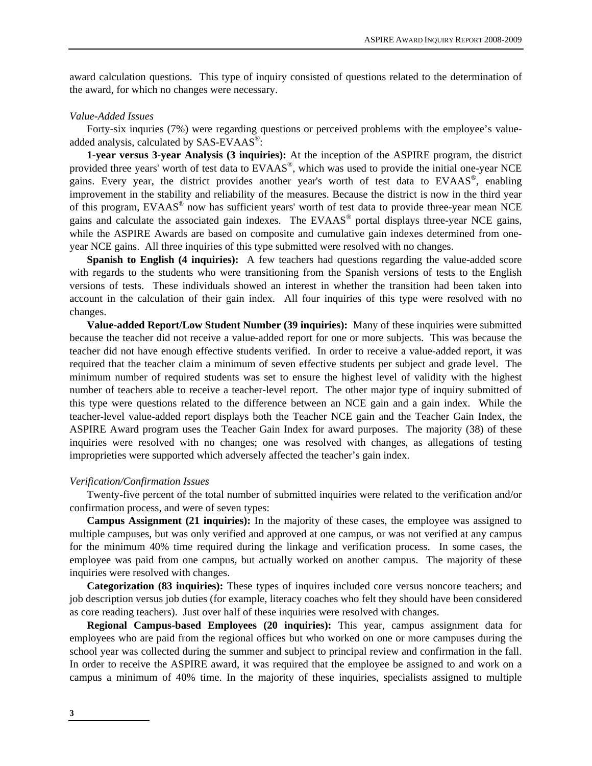award calculation questions. This type of inquiry consisted of questions related to the determination of the award, for which no changes were necessary.

## *Value-Added Issues*

Forty-six inquries (7%) were regarding questions or perceived problems with the employee's valueadded analysis, calculated by SAS-EVAAS®:

**1-year versus 3-year Analysis (3 inquiries):** At the inception of the ASPIRE program, the district provided three years' worth of test data to EVAAS®, which was used to provide the initial one-year NCE gains. Every year, the district provides another year's worth of test data to EVAAS®, enabling improvement in the stability and reliability of the measures. Because the district is now in the third year of this program, EVAAS® now has sufficient years' worth of test data to provide three-year mean NCE gains and calculate the associated gain indexes. The EVAAS® portal displays three-year NCE gains, while the ASPIRE Awards are based on composite and cumulative gain indexes determined from oneyear NCE gains.All three inquiries of this type submitted were resolved with no changes.

**Spanish to English (4 inquiries):** A few teachers had questions regarding the value-added score with regards to the students who were transitioning from the Spanish versions of tests to the English versions of tests. These individuals showed an interest in whether the transition had been taken into account in the calculation of their gain index. All four inquiries of this type were resolved with no changes.

**Value-added Report/Low Student Number (39 inquiries):** Many of these inquiries were submitted because the teacher did not receive a value-added report for one or more subjects. This was because the teacher did not have enough effective students verified. In order to receive a value-added report, it was required that the teacher claim a minimum of seven effective students per subject and grade level. The minimum number of required students was set to ensure the highest level of validity with the highest number of teachers able to receive a teacher-level report. The other major type of inquiry submitted of this type were questions related to the difference between an NCE gain and a gain index. While the teacher-level value-added report displays both the Teacher NCE gain and the Teacher Gain Index, the ASPIRE Award program uses the Teacher Gain Index for award purposes. The majority (38) of these inquiries were resolved with no changes; one was resolved with changes, as allegations of testing improprieties were supported which adversely affected the teacher's gain index.

#### *Verification/Confirmation Issues*

Twenty-five percent of the total number of submitted inquiries were related to the verification and/or confirmation process, and were of seven types:

**Campus Assignment (21 inquiries):** In the majority of these cases, the employee was assigned to multiple campuses, but was only verified and approved at one campus, or was not verified at any campus for the minimum 40% time required during the linkage and verification process. In some cases, the employee was paid from one campus, but actually worked on another campus. The majority of these inquiries were resolved with changes.

**Categorization (83 inquiries):** These types of inquires included core versus noncore teachers; and job description versus job duties (for example, literacy coaches who felt they should have been considered as core reading teachers). Just over half of these inquiries were resolved with changes.

**Regional Campus-based Employees (20 inquiries):** This year, campus assignment data for employees who are paid from the regional offices but who worked on one or more campuses during the school year was collected during the summer and subject to principal review and confirmation in the fall. In order to receive the ASPIRE award, it was required that the employee be assigned to and work on a campus a minimum of 40% time. In the majority of these inquiries, specialists assigned to multiple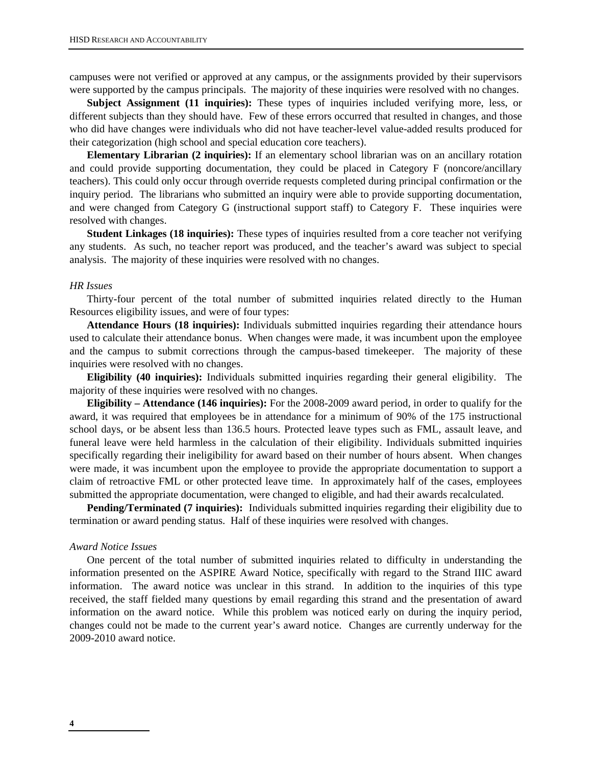campuses were not verified or approved at any campus, or the assignments provided by their supervisors were supported by the campus principals. The majority of these inquiries were resolved with no changes.

**Subject Assignment (11 inquiries):** These types of inquiries included verifying more, less, or different subjects than they should have. Few of these errors occurred that resulted in changes, and those who did have changes were individuals who did not have teacher-level value-added results produced for their categorization (high school and special education core teachers).

**Elementary Librarian (2 inquiries):** If an elementary school librarian was on an ancillary rotation and could provide supporting documentation, they could be placed in Category F (noncore/ancillary teachers). This could only occur through override requests completed during principal confirmation or the inquiry period. The librarians who submitted an inquiry were able to provide supporting documentation, and were changed from Category G (instructional support staff) to Category F. These inquiries were resolved with changes.

**Student Linkages (18 inquiries):** These types of inquiries resulted from a core teacher not verifying any students. As such, no teacher report was produced, and the teacher's award was subject to special analysis. The majority of these inquiries were resolved with no changes.

### *HR Issues*

Thirty-four percent of the total number of submitted inquiries related directly to the Human Resources eligibility issues, and were of four types:

**Attendance Hours (18 inquiries):** Individuals submitted inquiries regarding their attendance hours used to calculate their attendance bonus. When changes were made, it was incumbent upon the employee and the campus to submit corrections through the campus-based timekeeper. The majority of these inquiries were resolved with no changes.

**Eligibility (40 inquiries):** Individuals submitted inquiries regarding their general eligibility. The majority of these inquiries were resolved with no changes.

**Eligibility – Attendance (146 inquiries):** For the 2008-2009 award period, in order to qualify for the award, it was required that employees be in attendance for a minimum of 90% of the 175 instructional school days, or be absent less than 136.5 hours. Protected leave types such as FML, assault leave, and funeral leave were held harmless in the calculation of their eligibility. Individuals submitted inquiries specifically regarding their ineligibility for award based on their number of hours absent. When changes were made, it was incumbent upon the employee to provide the appropriate documentation to support a claim of retroactive FML or other protected leave time. In approximately half of the cases, employees submitted the appropriate documentation, were changed to eligible, and had their awards recalculated.

Pending/Terminated (7 inquiries): Individuals submitted inquiries regarding their eligibility due to termination or award pending status. Half of these inquiries were resolved with changes.

#### *Award Notice Issues*

One percent of the total number of submitted inquiries related to difficulty in understanding the information presented on the ASPIRE Award Notice, specifically with regard to the Strand IIIC award information. The award notice was unclear in this strand. In addition to the inquiries of this type received, the staff fielded many questions by email regarding this strand and the presentation of award information on the award notice. While this problem was noticed early on during the inquiry period, changes could not be made to the current year's award notice. Changes are currently underway for the 2009-2010 award notice.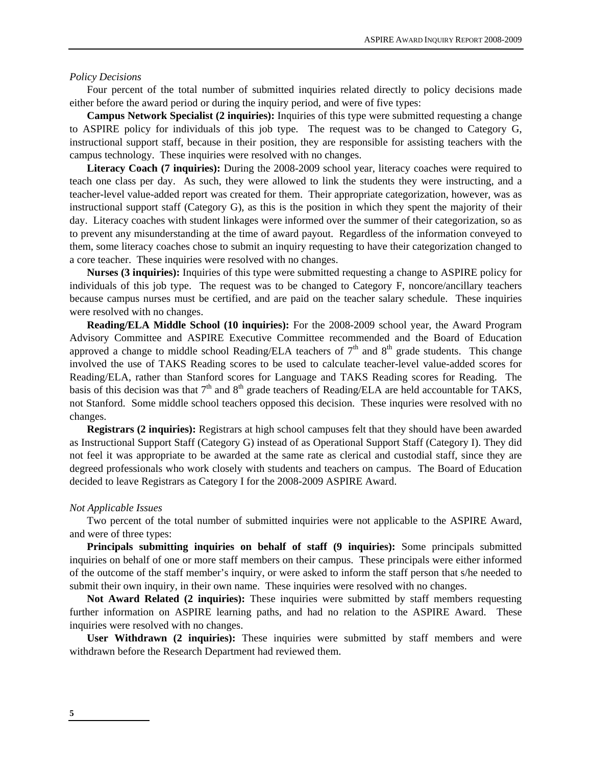#### *Policy Decisions*

Four percent of the total number of submitted inquiries related directly to policy decisions made either before the award period or during the inquiry period, and were of five types:

**Campus Network Specialist (2 inquiries):** Inquiries of this type were submitted requesting a change to ASPIRE policy for individuals of this job type. The request was to be changed to Category G, instructional support staff, because in their position, they are responsible for assisting teachers with the campus technology. These inquiries were resolved with no changes.

**Literacy Coach (7 inquiries):** During the 2008-2009 school year, literacy coaches were required to teach one class per day. As such, they were allowed to link the students they were instructing, and a teacher-level value-added report was created for them. Their appropriate categorization, however, was as instructional support staff (Category G), as this is the position in which they spent the majority of their day. Literacy coaches with student linkages were informed over the summer of their categorization, so as to prevent any misunderstanding at the time of award payout. Regardless of the information conveyed to them, some literacy coaches chose to submit an inquiry requesting to have their categorization changed to a core teacher. These inquiries were resolved with no changes.

**Nurses (3 inquiries):** Inquiries of this type were submitted requesting a change to ASPIRE policy for individuals of this job type. The request was to be changed to Category F, noncore/ancillary teachers because campus nurses must be certified, and are paid on the teacher salary schedule. These inquiries were resolved with no changes.

**Reading/ELA Middle School (10 inquiries):** For the 2008-2009 school year, the Award Program Advisory Committee and ASPIRE Executive Committee recommended and the Board of Education approved a change to middle school Reading/ELA teachers of  $7<sup>th</sup>$  and  $8<sup>th</sup>$  grade students. This change involved the use of TAKS Reading scores to be used to calculate teacher-level value-added scores for Reading/ELA, rather than Stanford scores for Language and TAKS Reading scores for Reading. The basis of this decision was that  $7<sup>th</sup>$  and  $8<sup>th</sup>$  grade teachers of Reading/ELA are held accountable for TAKS, not Stanford. Some middle school teachers opposed this decision. These inquries were resolved with no changes.

**Registrars (2 inquiries):** Registrars at high school campuses felt that they should have been awarded as Instructional Support Staff (Category G) instead of as Operational Support Staff (Category I). They did not feel it was appropriate to be awarded at the same rate as clerical and custodial staff, since they are degreed professionals who work closely with students and teachers on campus. The Board of Education decided to leave Registrars as Category I for the 2008-2009 ASPIRE Award.

#### *Not Applicable Issues*

Two percent of the total number of submitted inquiries were not applicable to the ASPIRE Award, and were of three types:

**Principals submitting inquiries on behalf of staff (9 inquiries):** Some principals submitted inquiries on behalf of one or more staff members on their campus. These principals were either informed of the outcome of the staff member's inquiry, or were asked to inform the staff person that s/he needed to submit their own inquiry, in their own name. These inquiries were resolved with no changes.

**Not Award Related (2 inquiries):** These inquiries were submitted by staff members requesting further information on ASPIRE learning paths, and had no relation to the ASPIRE Award. These inquiries were resolved with no changes.

**User Withdrawn (2 inquiries):** These inquiries were submitted by staff members and were withdrawn before the Research Department had reviewed them.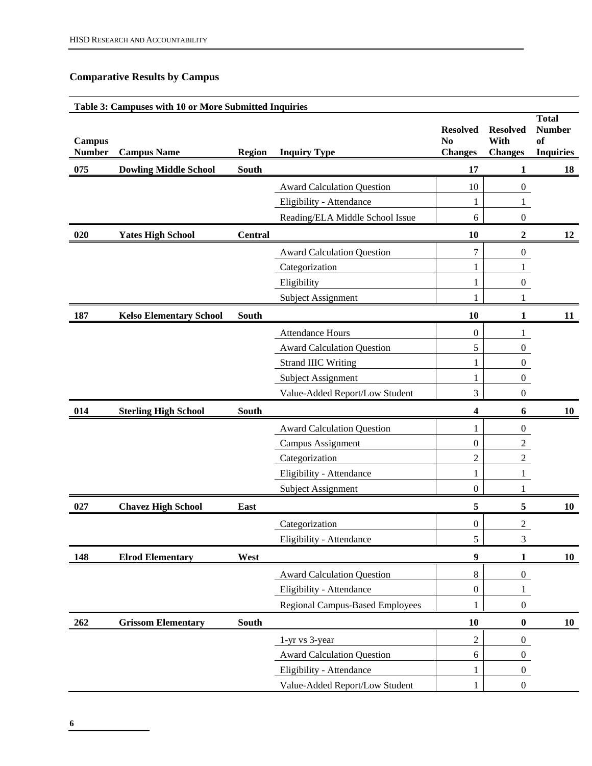# **Comparative Results by Campus**

# **Table 3: Campuses with 10 or More Submitted Inquiries Campus Number Campus Name Region Inquiry Type Resolved Resolved No Changes With Changes Total Number of Inquiries**  075 Dowling Middle School South 17 1 18 Award Calculation Question 10 | 0 Eligibility - Attendance 1 1 1 1 Reading/ELA Middle School Issue 6 0 **020 Yates High School Central 10 2 12**  Award Calculation Question 2 2 Categorization 1 1 1 Eligibility 1 0 Subject Assignment 1 1 1 1 **187** Kelso Elementary School South 10 1 11 11 Attendance Hours 0 1 Award Calculation Question 1 5 0 Strand IIIC Writing 2002 1 0 Subject Assignment 1 0 Value-Added Report/Low Student 1 3 0 **014 Sterling High School South 4 6 10**  Award Calculation Question 1 0 Campus Assignment 0 2 Categorization 2 2 Eligibility - Attendance 1 1 1 1 Subject Assignment 0 1 1 **027 Chavez High School East 5 5 10**  Categorization 0 2 Eligibility - Attendance 5 3 **148 Elrod Elementary West** 9 1 10 Award Calculation Question 8 0 Eligibility - Attendance 0 1 Regional Campus-Based Employees 1 0 **262 Grissom Elementary South 10 0 10**  1-yr vs 3-year 2 0 Award Calculation Question 6 0 Eligibility - Attendance  $\begin{vmatrix} 1 & 0 \\ 0 & 1 \end{vmatrix}$  0

Value-Added Report/Low Student 1 0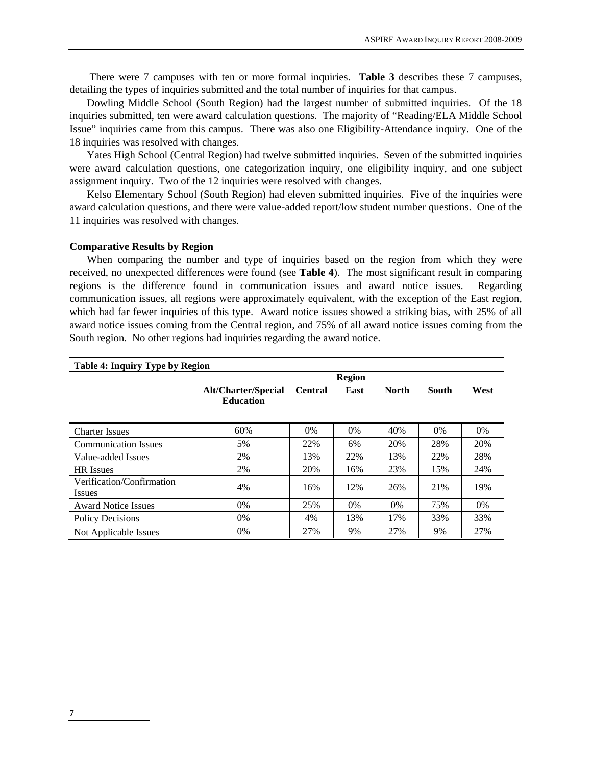There were 7 campuses with ten or more formal inquiries. **Table 3** describes these 7 campuses, detailing the types of inquiries submitted and the total number of inquiries for that campus.

Dowling Middle School (South Region) had the largest number of submitted inquiries. Of the 18 inquiries submitted, ten were award calculation questions. The majority of "Reading/ELA Middle School Issue" inquiries came from this campus. There was also one Eligibility-Attendance inquiry. One of the 18 inquiries was resolved with changes.

Yates High School (Central Region) had twelve submitted inquiries. Seven of the submitted inquiries were award calculation questions, one categorization inquiry, one eligibility inquiry, and one subject assignment inquiry. Two of the 12 inquiries were resolved with changes.

Kelso Elementary School (South Region) had eleven submitted inquiries. Five of the inquiries were award calculation questions, and there were value-added report/low student number questions. One of the 11 inquiries was resolved with changes.

### **Comparative Results by Region**

When comparing the number and type of inquiries based on the region from which they were received, no unexpected differences were found (see **Table 4**). The most significant result in comparing regions is the difference found in communication issues and award notice issues. Regarding communication issues, all regions were approximately equivalent, with the exception of the East region, which had far fewer inquiries of this type. Award notice issues showed a striking bias, with 25% of all award notice issues coming from the Central region, and 75% of all award notice issues coming from the South region. No other regions had inquiries regarding the award notice.

| Table 4: Inquiry Type by Region     |                                                |                |       |              |       |      |
|-------------------------------------|------------------------------------------------|----------------|-------|--------------|-------|------|
|                                     | <b>Region</b>                                  |                |       |              |       |      |
|                                     | <b>Alt/Charter/Special</b><br><b>Education</b> | <b>Central</b> | East  | <b>North</b> | South | West |
| <b>Charter Issues</b>               | 60%                                            | 0%             | 0%    | 40%          | 0%    | 0%   |
| <b>Communication Issues</b>         | 5%                                             | 22%            | 6%    | 20%          | 28%   | 20%  |
| Value-added Issues                  | 2%                                             | 13%            | 22%   | 13%          | 22%   | 28%  |
| <b>HR</b> Issues                    | 2%                                             | 20%            | 16%   | 23%          | 15%   | 24%  |
| Verification/Confirmation<br>Issues | 4%                                             | 16%            | 12%   | 26%          | 21%   | 19%  |
| <b>Award Notice Issues</b>          | 0%                                             | 25%            | $0\%$ | $0\%$        | 75%   | 0%   |
| <b>Policy Decisions</b>             | $0\%$                                          | 4%             | 13%   | 17%          | 33%   | 33%  |
| Not Applicable Issues               | 0%                                             | 27%            | 9%    | 27%          | 9%    | 27%  |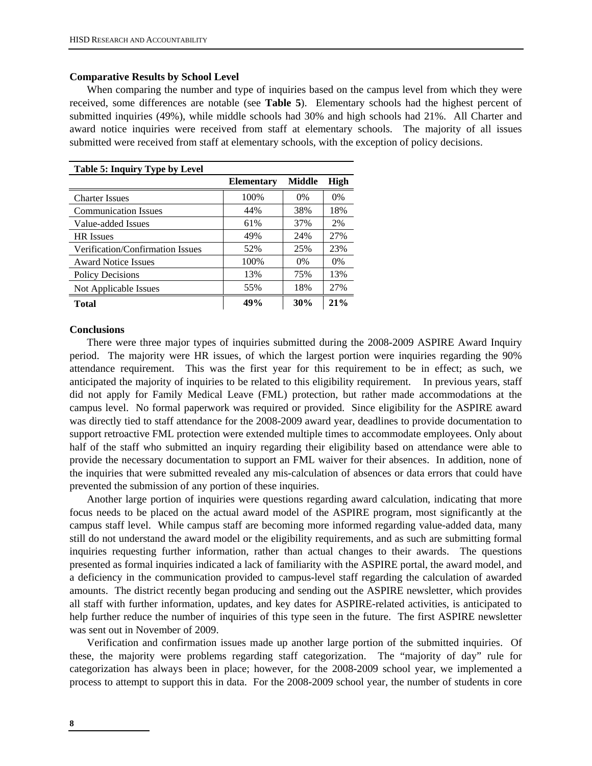# **Comparative Results by School Level**

When comparing the number and type of inquiries based on the campus level from which they were received, some differences are notable (see **Table 5**). Elementary schools had the highest percent of submitted inquiries (49%), while middle schools had 30% and high schools had 21%. All Charter and award notice inquiries were received from staff at elementary schools. The majority of all issues submitted were received from staff at elementary schools, with the exception of policy decisions.

| <b>Table 5: Inquiry Type by Level</b> |                   |               |             |  |  |  |
|---------------------------------------|-------------------|---------------|-------------|--|--|--|
|                                       | <b>Elementary</b> | <b>Middle</b> | <b>High</b> |  |  |  |
| <b>Charter Issues</b>                 | 100%              | $0\%$         | $0\%$       |  |  |  |
| <b>Communication Issues</b>           | 44%               | 38%           | 18%         |  |  |  |
| Value-added Issues                    | 61%               | 37%           | 2%          |  |  |  |
| <b>HR</b> Issues                      | 49%               | 24%           | 27%         |  |  |  |
| Verification/Confirmation Issues      | 52%               | 25%           | 23%         |  |  |  |
| <b>Award Notice Issues</b>            | 100%              | $0\%$         | $0\%$       |  |  |  |
| <b>Policy Decisions</b>               | 13%               | 75%           | 13%         |  |  |  |
| Not Applicable Issues                 | 55%               | 18%           | 27%         |  |  |  |
| Total                                 | 49%               | 30%           | 21%         |  |  |  |

## **Conclusions**

There were three major types of inquiries submitted during the 2008-2009 ASPIRE Award Inquiry period. The majority were HR issues, of which the largest portion were inquiries regarding the 90% attendance requirement. This was the first year for this requirement to be in effect; as such, we anticipated the majority of inquiries to be related to this eligibility requirement. In previous years, staff did not apply for Family Medical Leave (FML) protection, but rather made accommodations at the campus level. No formal paperwork was required or provided. Since eligibility for the ASPIRE award was directly tied to staff attendance for the 2008-2009 award year, deadlines to provide documentation to support retroactive FML protection were extended multiple times to accommodate employees. Only about half of the staff who submitted an inquiry regarding their eligibility based on attendance were able to provide the necessary documentation to support an FML waiver for their absences. In addition, none of the inquiries that were submitted revealed any mis-calculation of absences or data errors that could have prevented the submission of any portion of these inquiries.

Another large portion of inquiries were questions regarding award calculation, indicating that more focus needs to be placed on the actual award model of the ASPIRE program, most significantly at the campus staff level. While campus staff are becoming more informed regarding value-added data, many still do not understand the award model or the eligibility requirements, and as such are submitting formal inquiries requesting further information, rather than actual changes to their awards. The questions presented as formal inquiries indicated a lack of familiarity with the ASPIRE portal, the award model, and a deficiency in the communication provided to campus-level staff regarding the calculation of awarded amounts. The district recently began producing and sending out the ASPIRE newsletter, which provides all staff with further information, updates, and key dates for ASPIRE-related activities, is anticipated to help further reduce the number of inquiries of this type seen in the future. The first ASPIRE newsletter was sent out in November of 2009.

Verification and confirmation issues made up another large portion of the submitted inquiries. Of these, the majority were problems regarding staff categorization. The "majority of day" rule for categorization has always been in place; however, for the 2008-2009 school year, we implemented a process to attempt to support this in data. For the 2008-2009 school year, the number of students in core